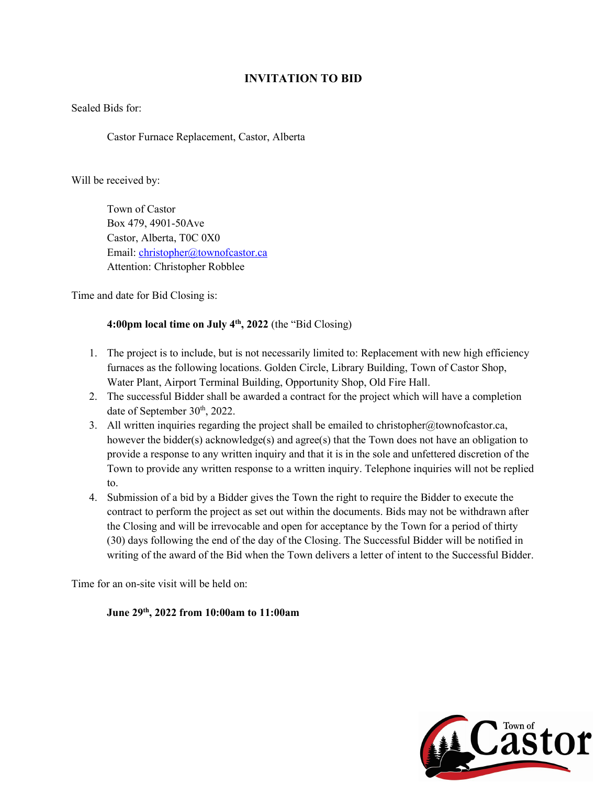# **INVITATION TO BID**

Sealed Bids for:

Castor Furnace Replacement, Castor, Alberta

Will be received by:

 Town of Castor Box 479, 4901-50Ave Castor, Alberta, T0C 0X0 Email: [christopher@townofcastor.ca](mailto:christopher@townofcastor.ca) Attention: Christopher Robblee

Time and date for Bid Closing is:

# **4:00pm local time on July 4th, 2022** (the "Bid Closing)

- 1. The project is to include, but is not necessarily limited to: Replacement with new high efficiency furnaces as the following locations. Golden Circle, Library Building, Town of Castor Shop, Water Plant, Airport Terminal Building, Opportunity Shop, Old Fire Hall.
- 2. The successful Bidder shall be awarded a contract for the project which will have a completion date of September 30<sup>th</sup>, 2022.
- 3. All written inquiries regarding the project shall be emailed to christopher@townofcastor.ca, however the bidder(s) acknowledge(s) and agree(s) that the Town does not have an obligation to provide a response to any written inquiry and that it is in the sole and unfettered discretion of the Town to provide any written response to a written inquiry. Telephone inquiries will not be replied to.
- 4. Submission of a bid by a Bidder gives the Town the right to require the Bidder to execute the contract to perform the project as set out within the documents. Bids may not be withdrawn after the Closing and will be irrevocable and open for acceptance by the Town for a period of thirty (30) days following the end of the day of the Closing. The Successful Bidder will be notified in writing of the award of the Bid when the Town delivers a letter of intent to the Successful Bidder.

Time for an on-site visit will be held on:

# **June 29th, 2022 from 10:00am to 11:00am**

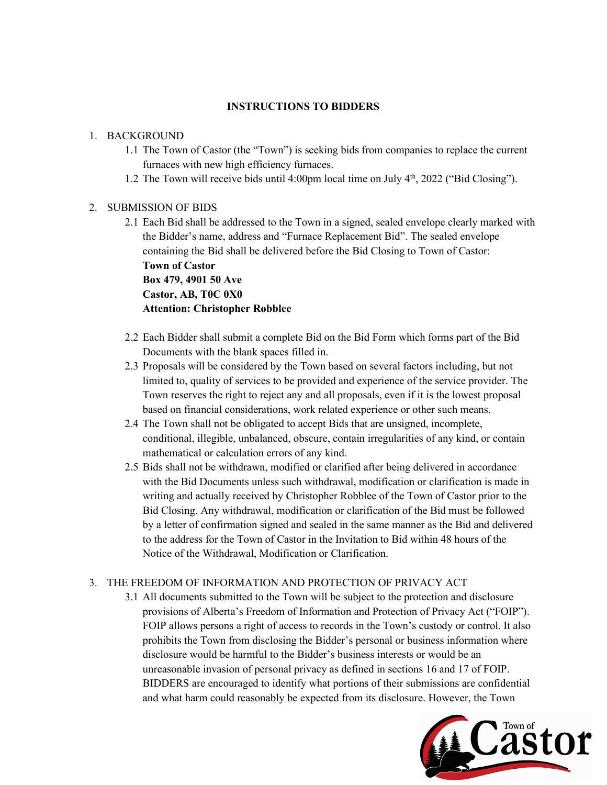### **INSTRUCTIONS TO BIDDERS**

### 1. BACKGROUND

- 1.1 The Town of Castor (the "Town") is seeking bids from companies to replace the current furnaces with new high efficiency furnaces.
- 1.2 The Town will receive bids until 4:00pm local time on July 4th, 2022 ("Bid Closing").

### 2. SUBMISSION OF BIDS

- 2.1 Each Bid shall be addressed to the Town in a signed, sealed envelope clearly marked with the Bidder's name, address and "Furnace Replacement Bid". The sealed envelope containing the Bid shall be delivered before the Bid Closing to Town of Castor: **Town of Castor Box 479, 4901 50 Ave Castor, AB, T0C 0X0 Attention: Christopher Robblee**
- 2.2 Each Bidder shall submit a complete Bid on the Bid Form which forms part of the Bid Documents with the blank spaces filled in.
- 2.3 Proposals will be considered by the Town based on several factors including, but not limited to, quality of services to be provided and experience of the service provider. The Town reserves the right to reject any and all proposals, even if it is the lowest proposal based on financial considerations, work related experience or other such means.
- 2.4 The Town shall not be obligated to accept Bids that are unsigned, incomplete, conditional, illegible, unbalanced, obscure, contain irregularities of any kind, or contain mathematical or calculation errors of any kind.
- 2.5 Bids shall not be withdrawn, modified or clarified after being delivered in accordance with the Bid Documents unless such withdrawal, modification or clarification is made in writing and actually received by Christopher Robblee of the Town of Castor prior to the Bid Closing. Any withdrawal, modification or clarification of the Bid must be followed by a letter of confirmation signed and sealed in the same manner as the Bid and delivered to the address for the Town of Castor in the Invitation to Bid within 48 hours of the Notice of the Withdrawal, Modification or Clarification.

# 3. THE FREEDOM OF INFORMATION AND PROTECTION OF PRIVACY ACT

3.1 All documents submitted to the Town will be subject to the protection and disclosure provisions of Alberta's Freedom of Information and Protection of Privacy Act ("FOIP"). FOIP allows persons a right of access to records in the Town's custody or control. It also prohibits the Town from disclosing the Bidder's personal or business information where disclosure would be harmful to the Bidder's business interests or would be an unreasonable invasion of personal privacy as defined in sections 16 and 17 of FOIP. BIDDERS are encouraged to identify what portions of their submissions are confidential

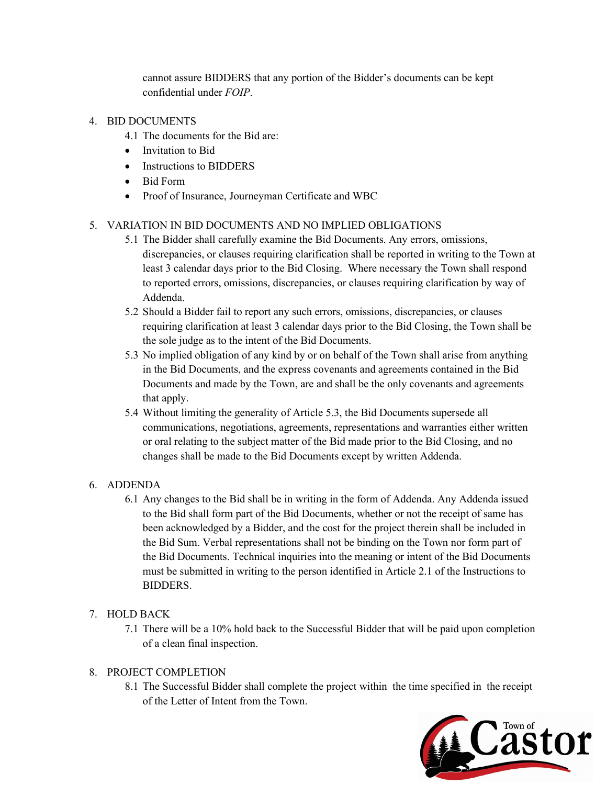cannot assure BIDDERS that any portion of the Bidder's documents can be kept confidential under *FOIP*.

### 4. BID DOCUMENTS

- 4.1 The documents for the Bid are:
- Invitation to Bid
- Instructions to BIDDERS
- Bid Form
- Proof of Insurance, Journeyman Certificate and WBC

# 5. VARIATION IN BID DOCUMENTS AND NO IMPLIED OBLIGATIONS

- 5.1 The Bidder shall carefully examine the Bid Documents. Any errors, omissions, discrepancies, or clauses requiring clarification shall be reported in writing to the Town at least 3 calendar days prior to the Bid Closing. Where necessary the Town shall respond to reported errors, omissions, discrepancies, or clauses requiring clarification by way of Addenda.
- 5.2 Should a Bidder fail to report any such errors, omissions, discrepancies, or clauses requiring clarification at least 3 calendar days prior to the Bid Closing, the Town shall be the sole judge as to the intent of the Bid Documents.
- 5.3 No implied obligation of any kind by or on behalf of the Town shall arise from anything in the Bid Documents, and the express covenants and agreements contained in the Bid Documents and made by the Town, are and shall be the only covenants and agreements that apply.
- 5.4 Without limiting the generality of Article 5.3, the Bid Documents supersede all communications, negotiations, agreements, representations and warranties either written or oral relating to the subject matter of the Bid made prior to the Bid Closing, and no changes shall be made to the Bid Documents except by written Addenda.

# 6. ADDENDA

6.1 Any changes to the Bid shall be in writing in the form of Addenda. Any Addenda issued to the Bid shall form part of the Bid Documents, whether or not the receipt of same has been acknowledged by a Bidder, and the cost for the project therein shall be included in the Bid Sum. Verbal representations shall not be binding on the Town nor form part of the Bid Documents. Technical inquiries into the meaning or intent of the Bid Documents must be submitted in writing to the person identified in Article 2.1 of the Instructions to BIDDERS.

# 7. HOLD BACK

7.1 There will be a 10% hold back to the Successful Bidder that will be paid upon completion of a clean final inspection.

# 8. PROJECT COMPLETION

8.1 The Successful Bidder shall complete the project within the time specified in the receipt of the Letter of Intent from the Town.

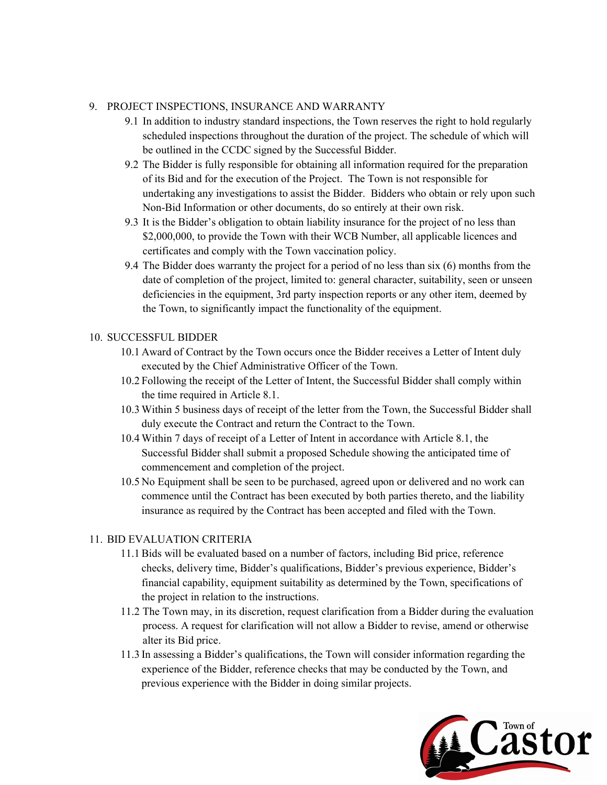### 9. PROJECT INSPECTIONS, INSURANCE AND WARRANTY

- 9.1 In addition to industry standard inspections, the Town reserves the right to hold regularly scheduled inspections throughout the duration of the project. The schedule of which will be outlined in the CCDC signed by the Successful Bidder.
- 9.2 The Bidder is fully responsible for obtaining all information required for the preparation of its Bid and for the execution of the Project. The Town is not responsible for undertaking any investigations to assist the Bidder. Bidders who obtain or rely upon such Non-Bid Information or other documents, do so entirely at their own risk.
- 9.3 It is the Bidder's obligation to obtain liability insurance for the project of no less than \$2,000,000, to provide the Town with their WCB Number, all applicable licences and certificates and comply with the Town vaccination policy.
- 9.4 The Bidder does warranty the project for a period of no less than six (6) months from the date of completion of the project, limited to: general character, suitability, seen or unseen deficiencies in the equipment, 3rd party inspection reports or any other item, deemed by the Town, to significantly impact the functionality of the equipment.

### 10. SUCCESSFUL BIDDER

- 10.1 Award of Contract by the Town occurs once the Bidder receives a Letter of Intent duly executed by the Chief Administrative Officer of the Town.
- 10.2 Following the receipt of the Letter of Intent, the Successful Bidder shall comply within the time required in Article 8.1.
- 10.3 Within 5 business days of receipt of the letter from the Town, the Successful Bidder shall duly execute the Contract and return the Contract to the Town.
- 10.4 Within 7 days of receipt of a Letter of Intent in accordance with Article 8.1, the Successful Bidder shall submit a proposed Schedule showing the anticipated time of commencement and completion of the project.
- 10.5 No Equipment shall be seen to be purchased, agreed upon or delivered and no work can commence until the Contract has been executed by both parties thereto, and the liability insurance as required by the Contract has been accepted and filed with the Town.

# 11. BID EVALUATION CRITERIA

- 11.1 Bids will be evaluated based on a number of factors, including Bid price, reference checks, delivery time, Bidder's qualifications, Bidder's previous experience, Bidder's financial capability, equipment suitability as determined by the Town, specifications of the project in relation to the instructions.
- 11.2 The Town may, in its discretion, request clarification from a Bidder during the evaluation process. A request for clarification will not allow a Bidder to revise, amend or otherwise alter its Bid price.
- 11.3 In assessing a Bidder's qualifications, the Town will consider information regarding the experience of the Bidder, reference checks that may be conducted by the Town, and previous experience with the Bidder in doing similar projects.

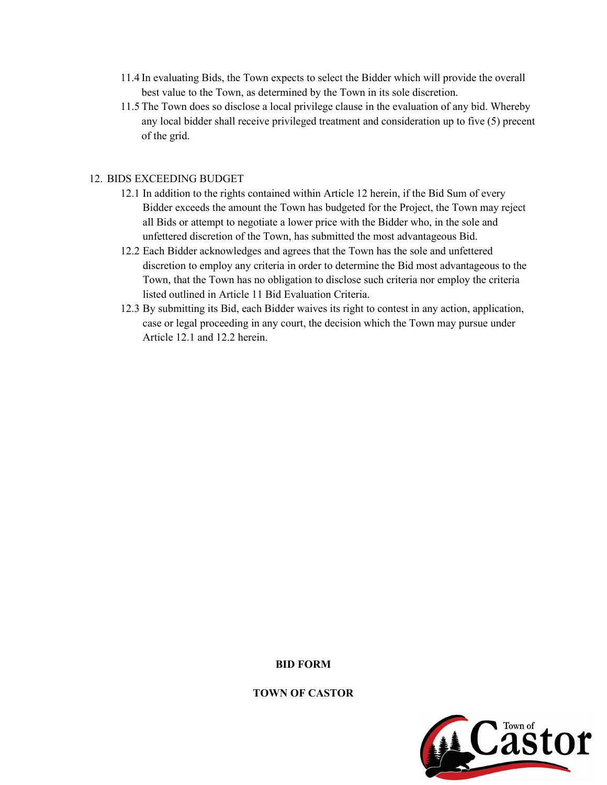- 11.4 In evaluating Bids, the Town expects to select the Bidder which will provide the overall best value to the Town, as determined by the Town in its sole discretion.
- 11.5 The Town does so disclose a local privilege clause in the evaluation of any bid. Whereby any local bidder shall receive privileged treatment and consideration up to five (5) precent of the grid.

### 12. BIDS EXCEEDING BUDGET

- 12.1 In addition to the rights contained within Article 12 herein, if the Bid Sum of every Bidder exceeds the amount the Town has budgeted for the Project, the Town may reject all Bids or attempt to negotiate a lower price with the Bidder who, in the sole and unfettered discretion of the Town, has submitted the most advantageous Bid.
- 12.2 Each Bidder acknowledges and agrees that the Town has the sole and unfettered discretion to employ any criteria in order to determine the Bid most advantageous to the Town, that the Town has no obligation to disclose such criteria nor employ the criteria listed outlined in Article 11 Bid Evaluation Criteria.
- 12.3 By submitting its Bid, each Bidder waives its right to contest in any action, application, case or legal proceeding in any court, the decision which the Town may pursue under Article 12.1 and 12.2 herein.

**BID FORM**



#### **TOWN OF CASTOR**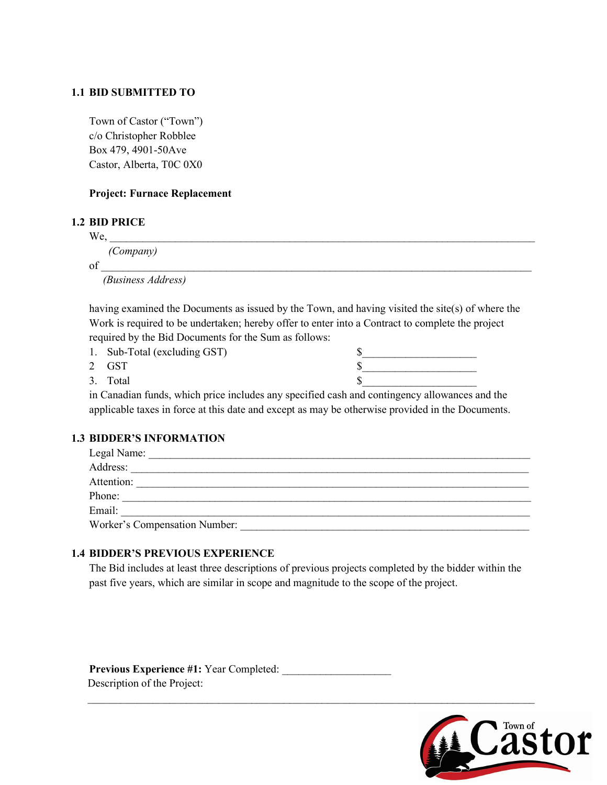### **1.1 BID SUBMITTED TO**

Town of Castor ("Town") c/o Christopher Robblee Box 479, 4901-50Ave Castor, Alberta, T0C 0X0

### **Project: Furnace Replacement**

#### **1.2 BID PRICE**

 $\rm{We,}$ 

*(Company)*

 $\mathrm{of}$   $\_$ 

*(Business Address)*

having examined the Documents as issued by the Town, and having visited the site(s) of where the Work is required to be undertaken; hereby offer to enter into a Contract to complete the project required by the Bid Documents for the Sum as follows:

- 1. Sub-Total (excluding GST)
- 

| 1. Sub-Total (excluding GST) |  |
|------------------------------|--|
| 2 GST                        |  |
| 3. Total                     |  |

in Canadian funds, which price includes any specified cash and contingency allowances and the applicable taxes in force at this date and except as may be otherwise provided in the Documents.

### **1.3 BIDDER'S INFORMATION**

| Legal Name:                   |
|-------------------------------|
| Address:                      |
| Attention:                    |
| Phone:                        |
| Email:                        |
| Worker's Compensation Number: |

### **1.4 BIDDER'S PREVIOUS EXPERIENCE**

The Bid includes at least three descriptions of previous projects completed by the bidder within the past five years, which are similar in scope and magnitude to the scope of the project.

 $\mathcal{L}_\text{max}$  and  $\mathcal{L}_\text{max}$  and  $\mathcal{L}_\text{max}$  and  $\mathcal{L}_\text{max}$  and  $\mathcal{L}_\text{max}$  and  $\mathcal{L}_\text{max}$ 

**Previous Experience #1:** Year Completed: Description of the Project:

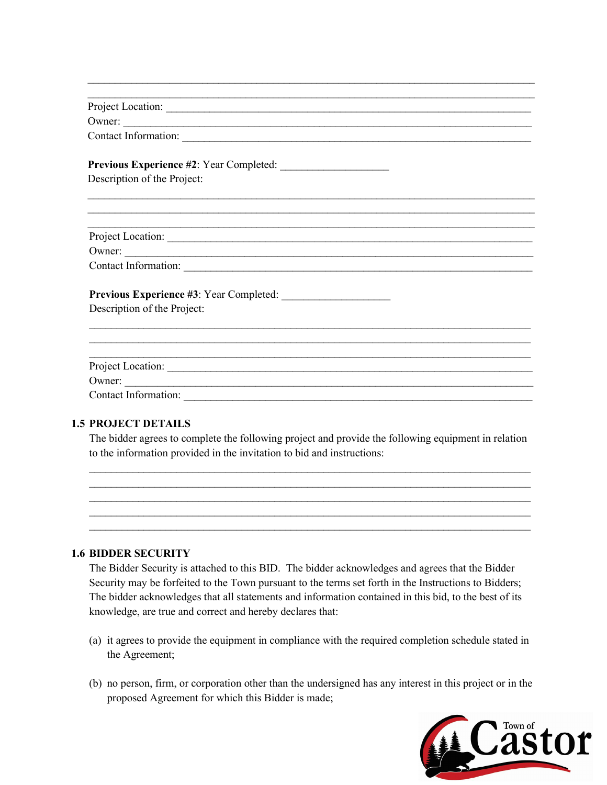| Project Location:                                  |
|----------------------------------------------------|
| Owner:                                             |
|                                                    |
|                                                    |
| Description of the Project:                        |
|                                                    |
| Project Location:                                  |
| Owner:                                             |
| Contact Information: New York Contact Information: |
|                                                    |
| Description of the Project:                        |
|                                                    |
|                                                    |
|                                                    |
| Owner:                                             |

 $\mathcal{L}_\text{max}$  and  $\mathcal{L}_\text{max}$  and  $\mathcal{L}_\text{max}$  and  $\mathcal{L}_\text{max}$  and  $\mathcal{L}_\text{max}$  and  $\mathcal{L}_\text{max}$ 

### **1.5 PROJECT DETAILS**

The bidder agrees to complete the following project and provide the following equipment in relation to the information provided in the invitation to bid and instructions:



#### **1.6 BIDDER SECURITY**

The Bidder Security is attached to this BID. The bidder acknowledges and agrees that the Bidder Security may be forfeited to the Town pursuant to the terms set forth in the Instructions to Bidders; The bidder acknowledges that all statements and information contained in this bid, to the best of its knowledge, are true and correct and hereby declares that:

- (a) it agrees to provide the equipment in compliance with the required completion schedule stated in the Agreement;
- (b) no person, firm, or corporation other than the undersigned has any interest in this project or in the proposed Agreement for which this Bidder is made;